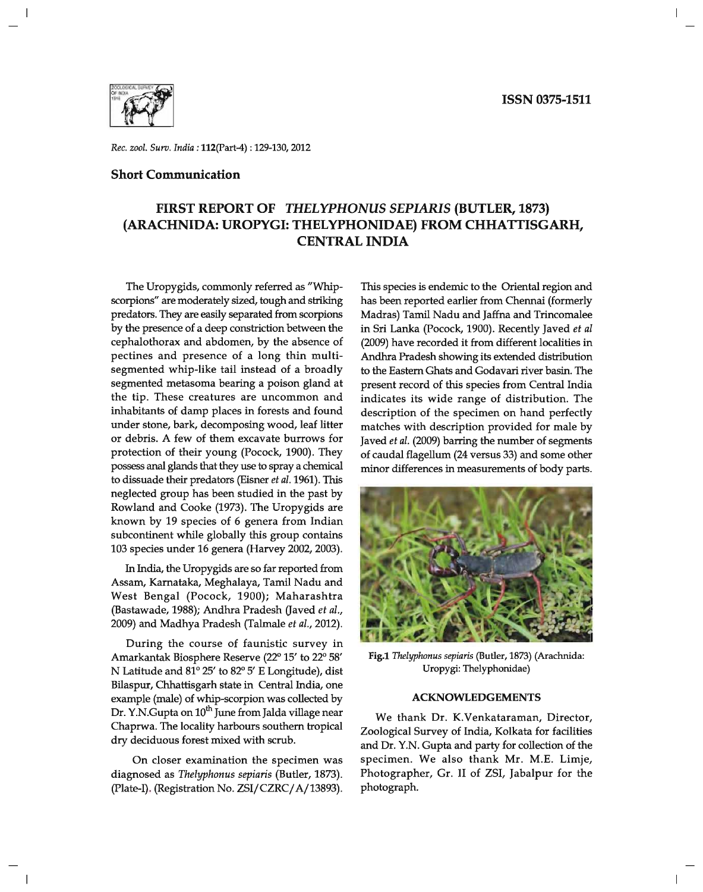

*Rec. zool. Surv. India:* 112(part-4) : 129-130,2012

## **Short Communication**

# **FIRST REPORT OF** *THELYPHONUS SEPIARIS* **(BUTLER, 1873) (ARACHNIDA: UROPYGI: THELYPHONIDAE) FROM CHHATTISGARH, CENTRAL INDIA**

The Uropygids, commonly referred as "Whipscorpions" are moderately sized, tough and striking predators. They are easily separated from scorpions by the presence of a deep constriction between the cephalothorax and abdomen, by the absence of pectines and presence of a long thin multisegmented whip-like tail instead of a broadly segmented metasoma bearing a poison gland at the tip. These creatures are uncommon and inhabitants of damp places in forests and found under stone, bark, decomposing wood, leaf litter or debris. A few of them excavate burrows for protection of their young (Pocock, 1900). They possess anal glands that they use to spray a chemical to dissuade their predators (Eisner et *al.* 1961). This neglected group has been studied in the past by Rowland and Cooke (1973). The Uropygids are known by 19 species of 6 genera from Indian subcontinent while globally this group contains 103 species under 16 genera (Harvey 2002, 2003).

In India, the Uropygids are so far reported from Assam, Karnataka, Meghalaya, Tamil Nadu and West Bengal (Pocock, 1900); Maharashtra (Bastawade, 1988); Andhra Pradesh (Javed et *al.,*  2009) and Madhya Pradesh (Talmale et *al., 2012).* 

During the course of faunistic survey in Amarkantak Biosphere Reserve (22° 15' to 22° 58' N Latitude and 81° 25' to 82° 5' E Longitude), dist Bilaspur, Chhattisgarh state in Central India, one example (male) of whip-scorpion was collected by Dr. Y.N.Gupta on 10<sup>th</sup> June from Jalda village near Chaprwa. The locality harbours southern tropical dry deciduous forest mixed with scrub.

On closer examination the specimen was diagnosed as *Thelyphonus sepiaris* (Butler, 1873). (plate-I). (Registration No. ZSI/CZRC/ A/13893).

This species is endemic to the Oriental region and has been reported earlier from Chennai (formerly Madras) Tamil Nadu and Jaffna and Trincomalee in Sri Lanka (Pocock, 1900). Recently Javed et *al*  (2009) have recorded it from different localities in Andhra Pradesh showing its extended distribution to the Eastern Ghats and Godavari river basin. The present record of this species from Central India indicates its wide range of distribution. The description of the specimen on hand perfectly matches with description provided for male by Javed et *al.* (2009) barring the number of segments of caudal flagellum (24 versus 33) and some other minor differences in measurements of body parts.



Fig.1 *Thelyphonus sepiaris* (Butler, 1873) (Arachnida: Uropygi: Thelyphonidae)

#### **ACKNOWLEDGEMENTS**

We thank Dr. K.Venkataraman, Director, Zoological Survey of India, Kolkata for facilities and Dr. Y.N. Gupta and party for collection of the specimen. We also thank Mr. M.E. Limje, Photographer, Gr. II of ZSI, Jabalpur for the photograph.